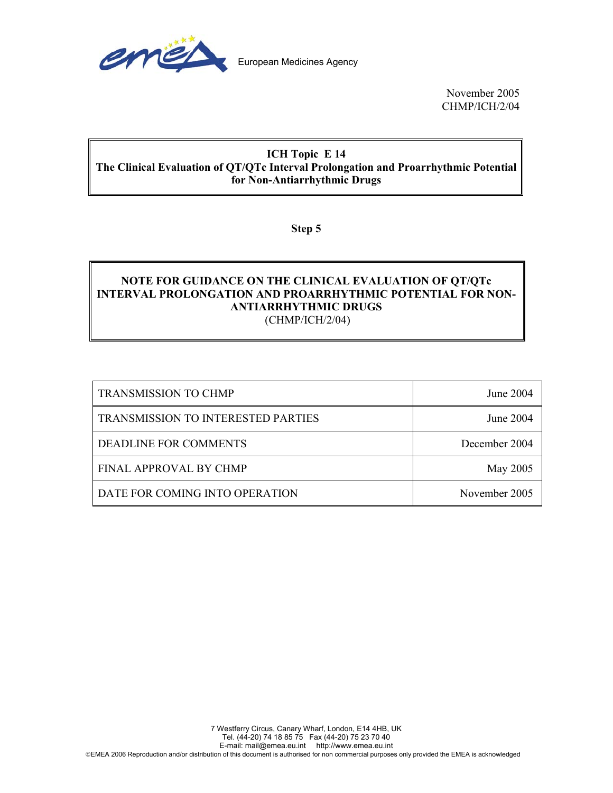

November 2005 CHMP/ICH/2/04

# **ICH Topic E 14 The Clinical Evaluation of QT/QTc Interval Prolongation and Proarrhythmic Potential for Non-Antiarrhythmic Drugs**

**Step 5** 

# **NOTE FOR GUIDANCE ON THE CLINICAL EVALUATION OF QT/QTc INTERVAL PROLONGATION AND PROARRHYTHMIC POTENTIAL FOR NON-ANTIARRHYTHMIC DRUGS**  (CHMP/ICH/2/04)

| <b>TRANSMISSION TO CHMP</b>        | <b>June 2004</b> |
|------------------------------------|------------------|
| TRANSMISSION TO INTERESTED PARTIES | June 2004        |
| <b>DEADLINE FOR COMMENTS</b>       | December 2004    |
| FINAL APPROVAL BY CHMP             | May 2005         |
| DATE FOR COMING INTO OPERATION     | November 2005    |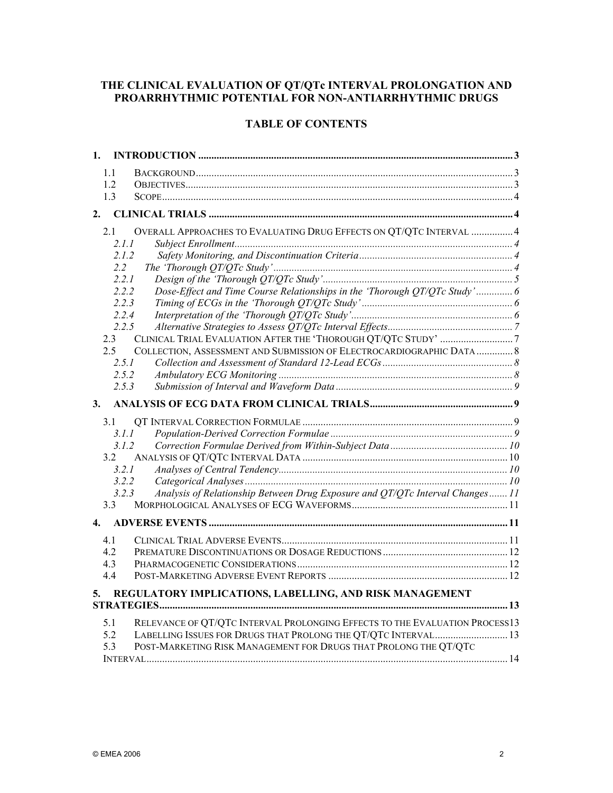# **THE CLINICAL EVALUATION OF QT/QTc INTERVAL PROLONGATION AND PROARRHYTHMIC POTENTIAL FOR NON-ANTIARRHYTHMIC DRUGS**

# **TABLE OF CONTENTS**

| 1.               |                                                                               |  |
|------------------|-------------------------------------------------------------------------------|--|
| 1.1              |                                                                               |  |
| 1.2              |                                                                               |  |
| 1.3              |                                                                               |  |
| $\overline{2}$ . |                                                                               |  |
| 2.1              | OVERALL APPROACHES TO EVALUATING DRUG EFFECTS ON QT/QTC INTERVAL 4            |  |
| 2.1.1            |                                                                               |  |
| 2.1.2            |                                                                               |  |
| 2.2              |                                                                               |  |
| 2.2.1            |                                                                               |  |
| 2.2.2            | Dose-Effect and Time Course Relationships in the 'Thorough QT/QTc Study' 6    |  |
| 2.2.3            |                                                                               |  |
| 2.2.4            |                                                                               |  |
| 2.2.5            |                                                                               |  |
| 23               |                                                                               |  |
| 2.5              | COLLECTION, ASSESSMENT AND SUBMISSION OF ELECTROCARDIOGRAPHIC DATA  8         |  |
| 2.5.1            |                                                                               |  |
| 2.5.2            |                                                                               |  |
| 2.5.3            |                                                                               |  |
| 3.               |                                                                               |  |
| 3.1              |                                                                               |  |
| 3.1.1            |                                                                               |  |
| 3.1.2            |                                                                               |  |
| 3.2              |                                                                               |  |
| 3.2.1            |                                                                               |  |
| 3.2.2            |                                                                               |  |
| 3.2.3            | Analysis of Relationship Between Drug Exposure and QT/QTc Interval Changes 11 |  |
| 3.3              |                                                                               |  |
| $\mathbf{4}$ .   |                                                                               |  |
| 4.1              |                                                                               |  |
| 4.2              |                                                                               |  |
| 4.3              |                                                                               |  |
| 4.4              |                                                                               |  |
|                  |                                                                               |  |
| 5.               | REGULATORY IMPLICATIONS, LABELLING, AND RISK MANAGEMENT                       |  |
|                  |                                                                               |  |
| 5.1              | RELEVANCE OF QT/QTC INTERVAL PROLONGING EFFECTS TO THE EVALUATION PROCESS13   |  |
| 52               | LABELLING ISSUES FOR DRUGS THAT PROLONG THE QT/QTC INTERVAL 13                |  |
| 5.3              | POST-MARKETING RISK MANAGEMENT FOR DRUGS THAT PROLONG THE QT/QTC              |  |
|                  |                                                                               |  |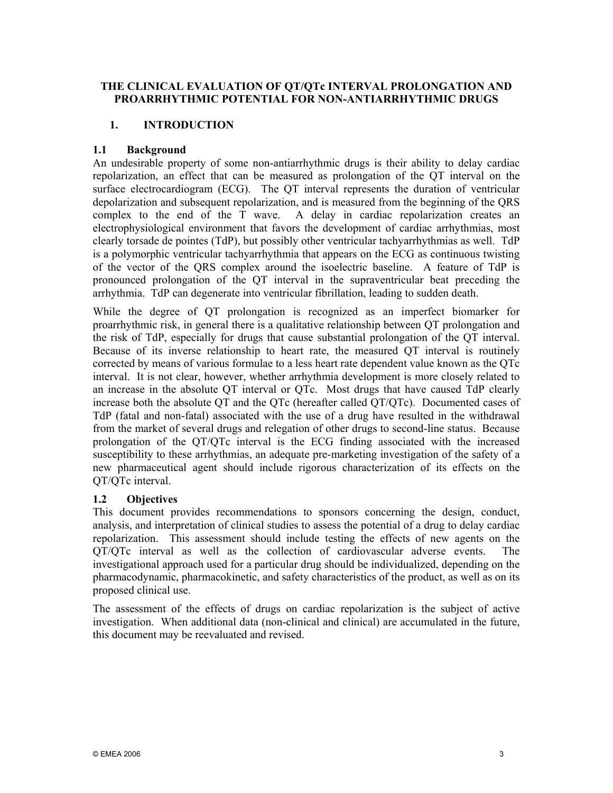# **THE CLINICAL EVALUATION OF QT/QTc INTERVAL PROLONGATION AND PROARRHYTHMIC POTENTIAL FOR NON-ANTIARRHYTHMIC DRUGS**

# **1. INTRODUCTION**

# **1.1 Background**

An undesirable property of some non-antiarrhythmic drugs is their ability to delay cardiac repolarization, an effect that can be measured as prolongation of the QT interval on the surface electrocardiogram (ECG). The QT interval represents the duration of ventricular depolarization and subsequent repolarization, and is measured from the beginning of the QRS complex to the end of the T wave. A delay in cardiac repolarization creates an electrophysiological environment that favors the development of cardiac arrhythmias, most clearly torsade de pointes (TdP), but possibly other ventricular tachyarrhythmias as well. TdP is a polymorphic ventricular tachyarrhythmia that appears on the ECG as continuous twisting of the vector of the QRS complex around the isoelectric baseline. A feature of TdP is pronounced prolongation of the QT interval in the supraventricular beat preceding the arrhythmia. TdP can degenerate into ventricular fibrillation, leading to sudden death.

While the degree of QT prolongation is recognized as an imperfect biomarker for proarrhythmic risk, in general there is a qualitative relationship between QT prolongation and the risk of TdP, especially for drugs that cause substantial prolongation of the QT interval. Because of its inverse relationship to heart rate, the measured QT interval is routinely corrected by means of various formulae to a less heart rate dependent value known as the QTc interval. It is not clear, however, whether arrhythmia development is more closely related to an increase in the absolute QT interval or QTc. Most drugs that have caused TdP clearly increase both the absolute QT and the QTc (hereafter called QT/QTc). Documented cases of TdP (fatal and non-fatal) associated with the use of a drug have resulted in the withdrawal from the market of several drugs and relegation of other drugs to second-line status. Because prolongation of the QT/QTc interval is the ECG finding associated with the increased susceptibility to these arrhythmias, an adequate pre-marketing investigation of the safety of a new pharmaceutical agent should include rigorous characterization of its effects on the QT/QTc interval.

# **1.2 Objectives**

This document provides recommendations to sponsors concerning the design, conduct, analysis, and interpretation of clinical studies to assess the potential of a drug to delay cardiac repolarization. This assessment should include testing the effects of new agents on the QT/QTc interval as well as the collection of cardiovascular adverse events. The investigational approach used for a particular drug should be individualized, depending on the pharmacodynamic, pharmacokinetic, and safety characteristics of the product, as well as on its proposed clinical use.

The assessment of the effects of drugs on cardiac repolarization is the subject of active investigation. When additional data (non-clinical and clinical) are accumulated in the future, this document may be reevaluated and revised.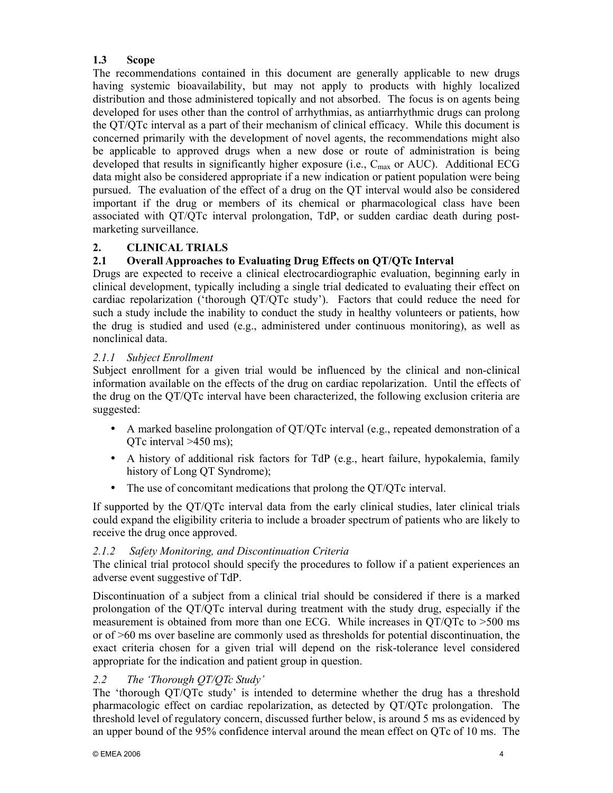# **1.3 Scope**

The recommendations contained in this document are generally applicable to new drugs having systemic bioavailability, but may not apply to products with highly localized distribution and those administered topically and not absorbed. The focus is on agents being developed for uses other than the control of arrhythmias, as antiarrhythmic drugs can prolong the QT/QTc interval as a part of their mechanism of clinical efficacy. While this document is concerned primarily with the development of novel agents, the recommendations might also be applicable to approved drugs when a new dose or route of administration is being developed that results in significantly higher exposure (i.e.,  $C_{\text{max}}$  or AUC). Additional ECG data might also be considered appropriate if a new indication or patient population were being pursued. The evaluation of the effect of a drug on the QT interval would also be considered important if the drug or members of its chemical or pharmacological class have been associated with QT/QTc interval prolongation, TdP, or sudden cardiac death during postmarketing surveillance.

# **2. CLINICAL TRIALS**

# **2.1 Overall Approaches to Evaluating Drug Effects on QT/QTc Interval**

Drugs are expected to receive a clinical electrocardiographic evaluation, beginning early in clinical development, typically including a single trial dedicated to evaluating their effect on cardiac repolarization ('thorough QT/QTc study'). Factors that could reduce the need for such a study include the inability to conduct the study in healthy volunteers or patients, how the drug is studied and used (e.g., administered under continuous monitoring), as well as nonclinical data.

# *2.1.1 Subject Enrollment*

Subject enrollment for a given trial would be influenced by the clinical and non-clinical information available on the effects of the drug on cardiac repolarization. Until the effects of the drug on the QT/QTc interval have been characterized, the following exclusion criteria are suggested:

- A marked baseline prolongation of QT/QTc interval (e.g., repeated demonstration of a OTc interval  $>450$  ms);
- A history of additional risk factors for TdP (e.g., heart failure, hypokalemia, family history of Long QT Syndrome);
- The use of concomitant medications that prolong the QT/QTc interval.

If supported by the QT/QTc interval data from the early clinical studies, later clinical trials could expand the eligibility criteria to include a broader spectrum of patients who are likely to receive the drug once approved.

# *2.1.2 Safety Monitoring, and Discontinuation Criteria*

The clinical trial protocol should specify the procedures to follow if a patient experiences an adverse event suggestive of TdP.

Discontinuation of a subject from a clinical trial should be considered if there is a marked prolongation of the QT/QTc interval during treatment with the study drug, especially if the measurement is obtained from more than one ECG. While increases in QT/QTc to >500 ms or of >60 ms over baseline are commonly used as thresholds for potential discontinuation, the exact criteria chosen for a given trial will depend on the risk-tolerance level considered appropriate for the indication and patient group in question.

# *2.2 The 'Thorough QT/QTc Study'*

The 'thorough QT/QTc study' is intended to determine whether the drug has a threshold pharmacologic effect on cardiac repolarization, as detected by QT/QTc prolongation. The threshold level of regulatory concern, discussed further below, is around 5 ms as evidenced by an upper bound of the 95% confidence interval around the mean effect on QTc of 10 ms. The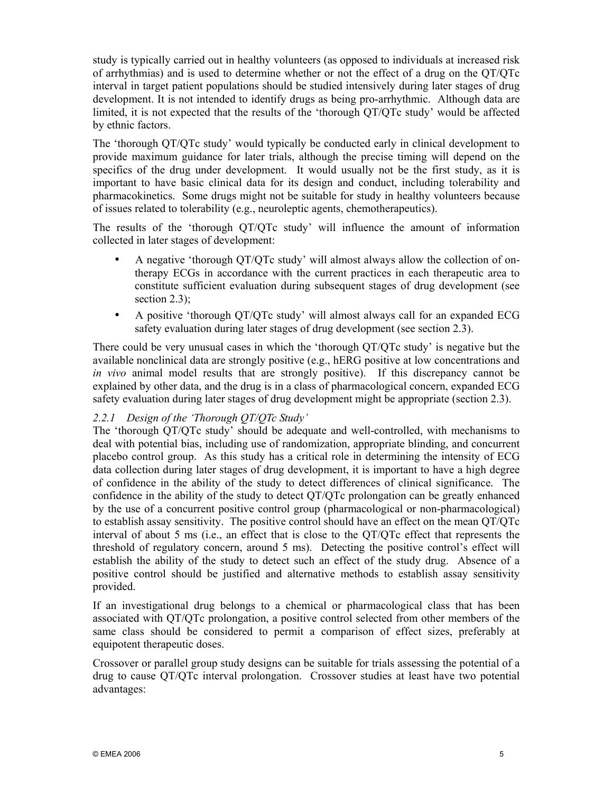study is typically carried out in healthy volunteers (as opposed to individuals at increased risk of arrhythmias) and is used to determine whether or not the effect of a drug on the QT/QTc interval in target patient populations should be studied intensively during later stages of drug development. It is not intended to identify drugs as being pro-arrhythmic. Although data are limited, it is not expected that the results of the 'thorough QT/QTc study' would be affected by ethnic factors.

The 'thorough QT/QTc study' would typically be conducted early in clinical development to provide maximum guidance for later trials, although the precise timing will depend on the specifics of the drug under development. It would usually not be the first study, as it is important to have basic clinical data for its design and conduct, including tolerability and pharmacokinetics. Some drugs might not be suitable for study in healthy volunteers because of issues related to tolerability (e.g., neuroleptic agents, chemotherapeutics).

The results of the 'thorough QT/QTc study' will influence the amount of information collected in later stages of development:

- A negative 'thorough QT/QTc study' will almost always allow the collection of ontherapy ECGs in accordance with the current practices in each therapeutic area to constitute sufficient evaluation during subsequent stages of drug development (see section 2.3):
- A positive 'thorough QT/QTc study' will almost always call for an expanded ECG safety evaluation during later stages of drug development (see section 2.3).

There could be very unusual cases in which the 'thorough QT/QTc study' is negative but the available nonclinical data are strongly positive (e.g., hERG positive at low concentrations and *in vivo* animal model results that are strongly positive). If this discrepancy cannot be explained by other data, and the drug is in a class of pharmacological concern, expanded ECG safety evaluation during later stages of drug development might be appropriate (section 2.3).

# *2.2.1 Design of the 'Thorough QT/QTc Study'*

The 'thorough QT/QTc study' should be adequate and well-controlled, with mechanisms to deal with potential bias, including use of randomization, appropriate blinding, and concurrent placebo control group. As this study has a critical role in determining the intensity of ECG data collection during later stages of drug development, it is important to have a high degree of confidence in the ability of the study to detect differences of clinical significance. The confidence in the ability of the study to detect QT/QTc prolongation can be greatly enhanced by the use of a concurrent positive control group (pharmacological or non-pharmacological) to establish assay sensitivity. The positive control should have an effect on the mean QT/QTc interval of about 5 ms (i.e., an effect that is close to the QT/QTc effect that represents the threshold of regulatory concern, around 5 ms). Detecting the positive control's effect will establish the ability of the study to detect such an effect of the study drug. Absence of a positive control should be justified and alternative methods to establish assay sensitivity provided.

If an investigational drug belongs to a chemical or pharmacological class that has been associated with QT/QTc prolongation, a positive control selected from other members of the same class should be considered to permit a comparison of effect sizes, preferably at equipotent therapeutic doses.

Crossover or parallel group study designs can be suitable for trials assessing the potential of a drug to cause QT/QTc interval prolongation. Crossover studies at least have two potential advantages: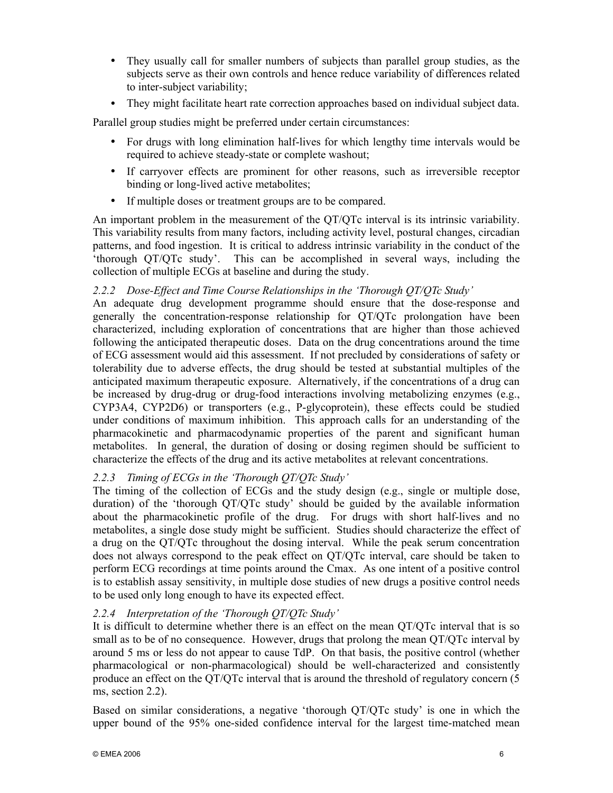- They usually call for smaller numbers of subjects than parallel group studies, as the subjects serve as their own controls and hence reduce variability of differences related to inter-subject variability;
- They might facilitate heart rate correction approaches based on individual subject data.

Parallel group studies might be preferred under certain circumstances:

- For drugs with long elimination half-lives for which lengthy time intervals would be required to achieve steady-state or complete washout;
- If carryover effects are prominent for other reasons, such as irreversible receptor binding or long-lived active metabolites;
- If multiple doses or treatment groups are to be compared.

An important problem in the measurement of the QT/QTc interval is its intrinsic variability. This variability results from many factors, including activity level, postural changes, circadian patterns, and food ingestion. It is critical to address intrinsic variability in the conduct of the 'thorough QT/QTc study'. This can be accomplished in several ways, including the collection of multiple ECGs at baseline and during the study.

### *2.2.2 Dose-Effect and Time Course Relationships in the 'Thorough QT/QTc Study'*

An adequate drug development programme should ensure that the dose-response and generally the concentration-response relationship for QT/QTc prolongation have been characterized, including exploration of concentrations that are higher than those achieved following the anticipated therapeutic doses. Data on the drug concentrations around the time of ECG assessment would aid this assessment. If not precluded by considerations of safety or tolerability due to adverse effects, the drug should be tested at substantial multiples of the anticipated maximum therapeutic exposure. Alternatively, if the concentrations of a drug can be increased by drug-drug or drug-food interactions involving metabolizing enzymes (e.g., CYP3A4, CYP2D6) or transporters (e.g., P-glycoprotein), these effects could be studied under conditions of maximum inhibition. This approach calls for an understanding of the pharmacokinetic and pharmacodynamic properties of the parent and significant human metabolites. In general, the duration of dosing or dosing regimen should be sufficient to characterize the effects of the drug and its active metabolites at relevant concentrations.

#### *2.2.3 Timing of ECGs in the 'Thorough QT/QTc Study'*

The timing of the collection of ECGs and the study design (e.g., single or multiple dose, duration) of the 'thorough QT/QTc study' should be guided by the available information about the pharmacokinetic profile of the drug. For drugs with short half-lives and no metabolites, a single dose study might be sufficient. Studies should characterize the effect of a drug on the QT/QTc throughout the dosing interval. While the peak serum concentration does not always correspond to the peak effect on QT/QTc interval, care should be taken to perform ECG recordings at time points around the Cmax. As one intent of a positive control is to establish assay sensitivity, in multiple dose studies of new drugs a positive control needs to be used only long enough to have its expected effect.

# *2.2.4 Interpretation of the 'Thorough QT/QTc Study'*

It is difficult to determine whether there is an effect on the mean QT/QTc interval that is so small as to be of no consequence. However, drugs that prolong the mean QT/QTc interval by around 5 ms or less do not appear to cause TdP. On that basis, the positive control (whether pharmacological or non-pharmacological) should be well-characterized and consistently produce an effect on the OT/OTc interval that is around the threshold of regulatory concern (5 ms, section 2.2).

Based on similar considerations, a negative 'thorough QT/QTc study' is one in which the upper bound of the 95% one-sided confidence interval for the largest time-matched mean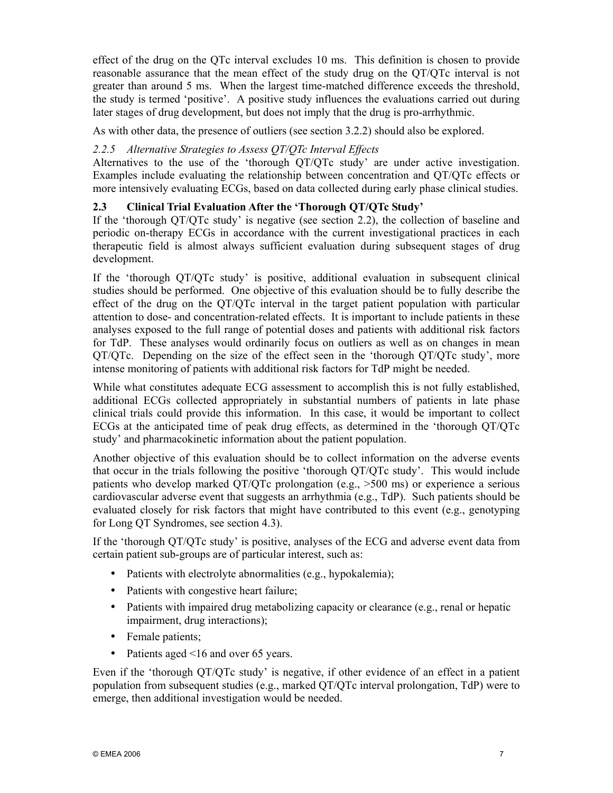effect of the drug on the QTc interval excludes 10 ms. This definition is chosen to provide reasonable assurance that the mean effect of the study drug on the QT/QTc interval is not greater than around 5 ms. When the largest time-matched difference exceeds the threshold, the study is termed 'positive'. A positive study influences the evaluations carried out during later stages of drug development, but does not imply that the drug is pro-arrhythmic.

As with other data, the presence of outliers (see section 3.2.2) should also be explored.

# *2.2.5 Alternative Strategies to Assess QT/QTc Interval Effects*

Alternatives to the use of the 'thorough QT/QTc study' are under active investigation. Examples include evaluating the relationship between concentration and QT/QTc effects or more intensively evaluating ECGs, based on data collected during early phase clinical studies.

# **2.3 Clinical Trial Evaluation After the 'Thorough QT/QTc Study'**

If the 'thorough QT/QTc study' is negative (see section 2.2), the collection of baseline and periodic on-therapy ECGs in accordance with the current investigational practices in each therapeutic field is almost always sufficient evaluation during subsequent stages of drug development.

If the 'thorough QT/QTc study' is positive, additional evaluation in subsequent clinical studies should be performed. One objective of this evaluation should be to fully describe the effect of the drug on the QT/QTc interval in the target patient population with particular attention to dose- and concentration-related effects. It is important to include patients in these analyses exposed to the full range of potential doses and patients with additional risk factors for TdP. These analyses would ordinarily focus on outliers as well as on changes in mean QT/QTc. Depending on the size of the effect seen in the 'thorough QT/QTc study', more intense monitoring of patients with additional risk factors for TdP might be needed.

While what constitutes adequate ECG assessment to accomplish this is not fully established, additional ECGs collected appropriately in substantial numbers of patients in late phase clinical trials could provide this information. In this case, it would be important to collect ECGs at the anticipated time of peak drug effects, as determined in the 'thorough QT/QTc study' and pharmacokinetic information about the patient population.

Another objective of this evaluation should be to collect information on the adverse events that occur in the trials following the positive 'thorough QT/QTc study'. This would include patients who develop marked QT/QTc prolongation (e.g., >500 ms) or experience a serious cardiovascular adverse event that suggests an arrhythmia (e.g., TdP). Such patients should be evaluated closely for risk factors that might have contributed to this event (e.g., genotyping for Long QT Syndromes, see section 4.3).

If the 'thorough QT/QTc study' is positive, analyses of the ECG and adverse event data from certain patient sub-groups are of particular interest, such as:

- Patients with electrolyte abnormalities (e.g., hypokalemia);
- Patients with congestive heart failure;
- Patients with impaired drug metabolizing capacity or clearance (e.g., renal or hepatic impairment, drug interactions);
- Female patients;
- Patients aged <16 and over 65 years.

Even if the 'thorough QT/QTc study' is negative, if other evidence of an effect in a patient population from subsequent studies (e.g., marked QT/QTc interval prolongation, TdP) were to emerge, then additional investigation would be needed.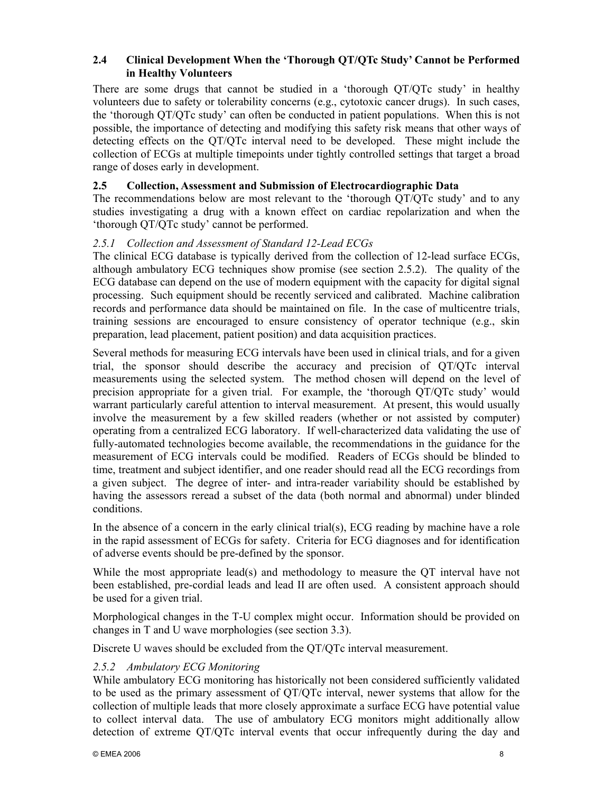### **2.4 Clinical Development When the 'Thorough QT/QTc Study' Cannot be Performed in Healthy Volunteers**

There are some drugs that cannot be studied in a 'thorough QT/QTc study' in healthy volunteers due to safety or tolerability concerns (e.g., cytotoxic cancer drugs). In such cases, the 'thorough QT/QTc study' can often be conducted in patient populations. When this is not possible, the importance of detecting and modifying this safety risk means that other ways of detecting effects on the QT/QTc interval need to be developed. These might include the collection of ECGs at multiple timepoints under tightly controlled settings that target a broad range of doses early in development.

# **2.5 Collection, Assessment and Submission of Electrocardiographic Data**

The recommendations below are most relevant to the 'thorough QT/QTc study' and to any studies investigating a drug with a known effect on cardiac repolarization and when the 'thorough QT/QTc study' cannot be performed.

# *2.5.1 Collection and Assessment of Standard 12-Lead ECGs*

The clinical ECG database is typically derived from the collection of 12-lead surface ECGs, although ambulatory ECG techniques show promise (see section 2.5.2). The quality of the ECG database can depend on the use of modern equipment with the capacity for digital signal processing. Such equipment should be recently serviced and calibrated. Machine calibration records and performance data should be maintained on file. In the case of multicentre trials, training sessions are encouraged to ensure consistency of operator technique (e.g., skin preparation, lead placement, patient position) and data acquisition practices.

Several methods for measuring ECG intervals have been used in clinical trials, and for a given trial, the sponsor should describe the accuracy and precision of QT/QTc interval measurements using the selected system. The method chosen will depend on the level of precision appropriate for a given trial. For example, the 'thorough QT/QTc study' would warrant particularly careful attention to interval measurement. At present, this would usually involve the measurement by a few skilled readers (whether or not assisted by computer) operating from a centralized ECG laboratory. If well-characterized data validating the use of fully-automated technologies become available, the recommendations in the guidance for the measurement of ECG intervals could be modified. Readers of ECGs should be blinded to time, treatment and subject identifier, and one reader should read all the ECG recordings from a given subject. The degree of inter- and intra-reader variability should be established by having the assessors reread a subset of the data (both normal and abnormal) under blinded conditions.

In the absence of a concern in the early clinical trial(s), ECG reading by machine have a role in the rapid assessment of ECGs for safety. Criteria for ECG diagnoses and for identification of adverse events should be pre-defined by the sponsor.

While the most appropriate lead(s) and methodology to measure the QT interval have not been established, pre-cordial leads and lead II are often used. A consistent approach should be used for a given trial.

Morphological changes in the T-U complex might occur. Information should be provided on changes in T and U wave morphologies (see section 3.3).

Discrete U waves should be excluded from the QT/QTc interval measurement.

# *2.5.2 Ambulatory ECG Monitoring*

While ambulatory ECG monitoring has historically not been considered sufficiently validated to be used as the primary assessment of QT/QTc interval, newer systems that allow for the collection of multiple leads that more closely approximate a surface ECG have potential value to collect interval data. The use of ambulatory ECG monitors might additionally allow detection of extreme QT/QTc interval events that occur infrequently during the day and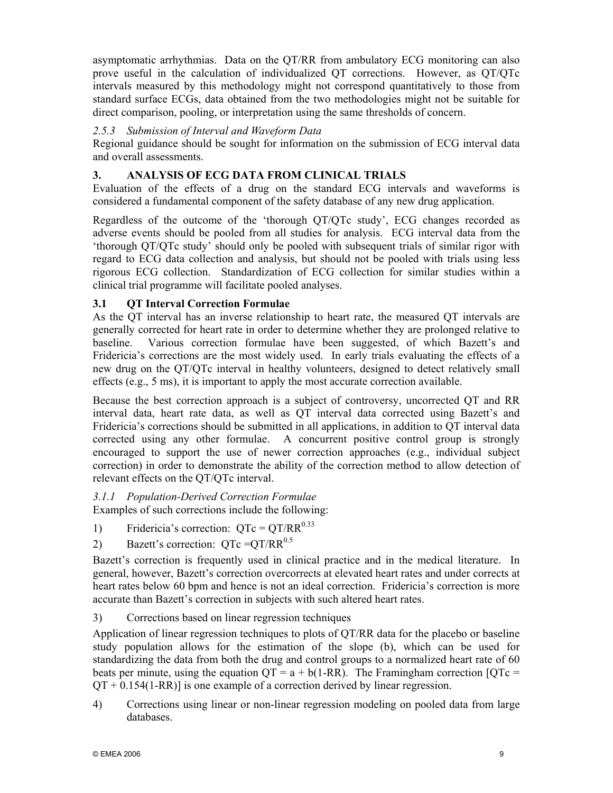asymptomatic arrhythmias. Data on the QT/RR from ambulatory ECG monitoring can also prove useful in the calculation of individualized QT corrections. However, as QT/QTc intervals measured by this methodology might not correspond quantitatively to those from standard surface ECGs, data obtained from the two methodologies might not be suitable for direct comparison, pooling, or interpretation using the same thresholds of concern.

### *2.5.3 Submission of Interval and Waveform Data*

Regional guidance should be sought for information on the submission of ECG interval data and overall assessments.

# **3. ANALYSIS OF ECG DATA FROM CLINICAL TRIALS**

Evaluation of the effects of a drug on the standard ECG intervals and waveforms is considered a fundamental component of the safety database of any new drug application.

Regardless of the outcome of the 'thorough QT/QTc study', ECG changes recorded as adverse events should be pooled from all studies for analysis. ECG interval data from the 'thorough QT/QTc study' should only be pooled with subsequent trials of similar rigor with regard to ECG data collection and analysis, but should not be pooled with trials using less rigorous ECG collection. Standardization of ECG collection for similar studies within a clinical trial programme will facilitate pooled analyses.

# **3.1 QT Interval Correction Formulae**

As the QT interval has an inverse relationship to heart rate, the measured QT intervals are generally corrected for heart rate in order to determine whether they are prolonged relative to baseline. Various correction formulae have been suggested, of which Bazett's and Fridericia's corrections are the most widely used. In early trials evaluating the effects of a new drug on the QT/QTc interval in healthy volunteers, designed to detect relatively small effects (e.g., 5 ms), it is important to apply the most accurate correction available.

Because the best correction approach is a subject of controversy, uncorrected QT and RR interval data, heart rate data, as well as QT interval data corrected using Bazett's and Fridericia's corrections should be submitted in all applications, in addition to QT interval data corrected using any other formulae. A concurrent positive control group is strongly encouraged to support the use of newer correction approaches (e.g., individual subject correction) in order to demonstrate the ability of the correction method to allow detection of relevant effects on the QT/QTc interval.

*3.1.1 Population-Derived Correction Formulae* 

Examples of such corrections include the following:

- 1) Fridericia's correction:  $QTc = QT/RR^{0.33}$
- 2) Bazett's correction:  $QTc = QT/RR^{0.5}$

Bazett's correction is frequently used in clinical practice and in the medical literature. In general, however, Bazett's correction overcorrects at elevated heart rates and under corrects at heart rates below 60 bpm and hence is not an ideal correction. Fridericia's correction is more accurate than Bazett's correction in subjects with such altered heart rates.

3) Corrections based on linear regression techniques

Application of linear regression techniques to plots of QT/RR data for the placebo or baseline study population allows for the estimation of the slope (b), which can be used for standardizing the data from both the drug and control groups to a normalized heart rate of 60 beats per minute, using the equation  $QT = a + b(1-RR)$ . The Framingham correction  $[QTc =$  $QT + 0.154(1-RR)$  is one example of a correction derived by linear regression.

4) Corrections using linear or non-linear regression modeling on pooled data from large databases.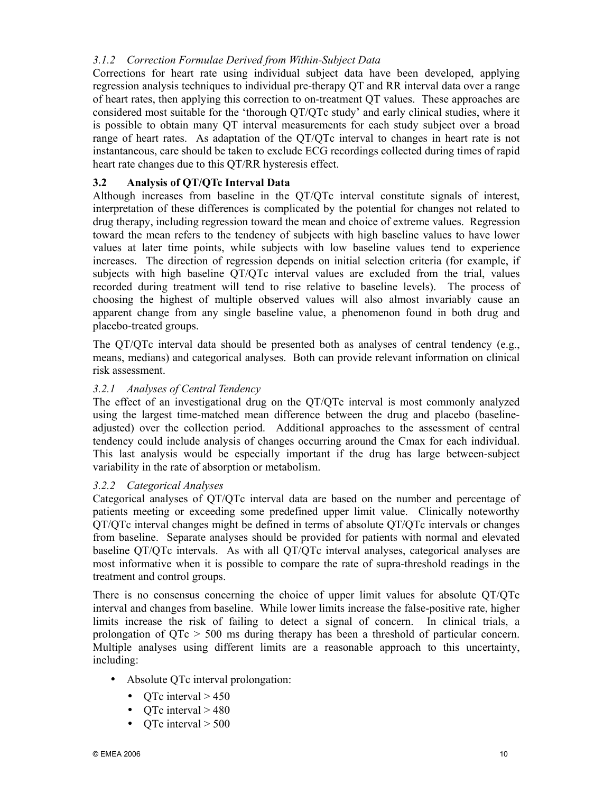# *3.1.2 Correction Formulae Derived from Within-Subject Data*

Corrections for heart rate using individual subject data have been developed, applying regression analysis techniques to individual pre-therapy QT and RR interval data over a range of heart rates, then applying this correction to on-treatment QT values. These approaches are considered most suitable for the 'thorough QT/QTc study' and early clinical studies, where it is possible to obtain many QT interval measurements for each study subject over a broad range of heart rates. As adaptation of the QT/QTc interval to changes in heart rate is not instantaneous, care should be taken to exclude ECG recordings collected during times of rapid heart rate changes due to this QT/RR hysteresis effect.

# **3.2 Analysis of QT/QTc Interval Data**

Although increases from baseline in the QT/QTc interval constitute signals of interest, interpretation of these differences is complicated by the potential for changes not related to drug therapy, including regression toward the mean and choice of extreme values. Regression toward the mean refers to the tendency of subjects with high baseline values to have lower values at later time points, while subjects with low baseline values tend to experience increases. The direction of regression depends on initial selection criteria (for example, if subjects with high baseline QT/QTc interval values are excluded from the trial, values recorded during treatment will tend to rise relative to baseline levels). The process of choosing the highest of multiple observed values will also almost invariably cause an apparent change from any single baseline value, a phenomenon found in both drug and placebo-treated groups.

The QT/QTc interval data should be presented both as analyses of central tendency (e.g., means, medians) and categorical analyses. Both can provide relevant information on clinical risk assessment.

### *3.2.1 Analyses of Central Tendency*

The effect of an investigational drug on the QT/QTc interval is most commonly analyzed using the largest time-matched mean difference between the drug and placebo (baselineadjusted) over the collection period. Additional approaches to the assessment of central tendency could include analysis of changes occurring around the Cmax for each individual. This last analysis would be especially important if the drug has large between-subject variability in the rate of absorption or metabolism.

#### *3.2.2 Categorical Analyses*

Categorical analyses of QT/QTc interval data are based on the number and percentage of patients meeting or exceeding some predefined upper limit value. Clinically noteworthy QT/QTc interval changes might be defined in terms of absolute QT/QTc intervals or changes from baseline. Separate analyses should be provided for patients with normal and elevated baseline QT/QTc intervals. As with all QT/QTc interval analyses, categorical analyses are most informative when it is possible to compare the rate of supra-threshold readings in the treatment and control groups.

There is no consensus concerning the choice of upper limit values for absolute QT/QTc interval and changes from baseline. While lower limits increase the false-positive rate, higher limits increase the risk of failing to detect a signal of concern.In clinical trials, a prolongation of  $\text{OTc} > 500$  ms during therapy has been a threshold of particular concern. Multiple analyses using different limits are a reasonable approach to this uncertainty, including:

- Absolute QTc interval prolongation:
	- OTc interval  $> 450$
	- QTc interval  $> 480$
	- OTc interval  $> 500$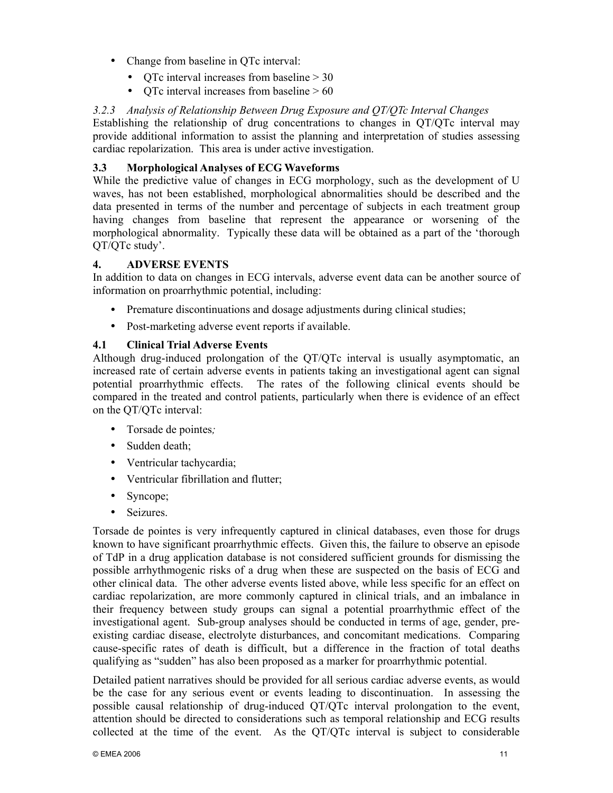- Change from baseline in QTc interval:
	- OTc interval increases from baseline  $> 30$
	- OTc interval increases from baseline  $> 60$

*3.2.3 Analysis of Relationship Between Drug Exposure and QT/QTc Interval Changes* 

Establishing the relationship of drug concentrations to changes in QT/QTc interval may provide additional information to assist the planning and interpretation of studies assessing cardiac repolarization. This area is under active investigation.

# **3.3 Morphological Analyses of ECG Waveforms**

While the predictive value of changes in ECG morphology, such as the development of U waves, has not been established, morphological abnormalities should be described and the data presented in terms of the number and percentage of subjects in each treatment group having changes from baseline that represent the appearance or worsening of the morphological abnormality. Typically these data will be obtained as a part of the 'thorough QT/QTc study'.

#### **4. ADVERSE EVENTS**

In addition to data on changes in ECG intervals, adverse event data can be another source of information on proarrhythmic potential, including:

- Premature discontinuations and dosage adjustments during clinical studies;
- Post-marketing adverse event reports if available.

### **4.1 Clinical Trial Adverse Events**

Although drug-induced prolongation of the QT/QTc interval is usually asymptomatic, an increased rate of certain adverse events in patients taking an investigational agent can signal potential proarrhythmic effects. The rates of the following clinical events should be compared in the treated and control patients, particularly when there is evidence of an effect on the QT/QTc interval:

- Torsade de pointes*;*
- Sudden death;
- Ventricular tachycardia;
- Ventricular fibrillation and flutter;
- Syncope:
- Seizures.

Torsade de pointes is very infrequently captured in clinical databases, even those for drugs known to have significant proarrhythmic effects. Given this, the failure to observe an episode of TdP in a drug application database is not considered sufficient grounds for dismissing the possible arrhythmogenic risks of a drug when these are suspected on the basis of ECG and other clinical data. The other adverse events listed above, while less specific for an effect on cardiac repolarization, are more commonly captured in clinical trials, and an imbalance in their frequency between study groups can signal a potential proarrhythmic effect of the investigational agent. Sub-group analyses should be conducted in terms of age, gender, preexisting cardiac disease, electrolyte disturbances, and concomitant medications. Comparing cause-specific rates of death is difficult, but a difference in the fraction of total deaths qualifying as "sudden" has also been proposed as a marker for proarrhythmic potential.

Detailed patient narratives should be provided for all serious cardiac adverse events, as would be the case for any serious event or events leading to discontinuation. In assessing the possible causal relationship of drug-induced QT/QTc interval prolongation to the event, attention should be directed to considerations such as temporal relationship and ECG results collected at the time of the event. As the QT/QTc interval is subject to considerable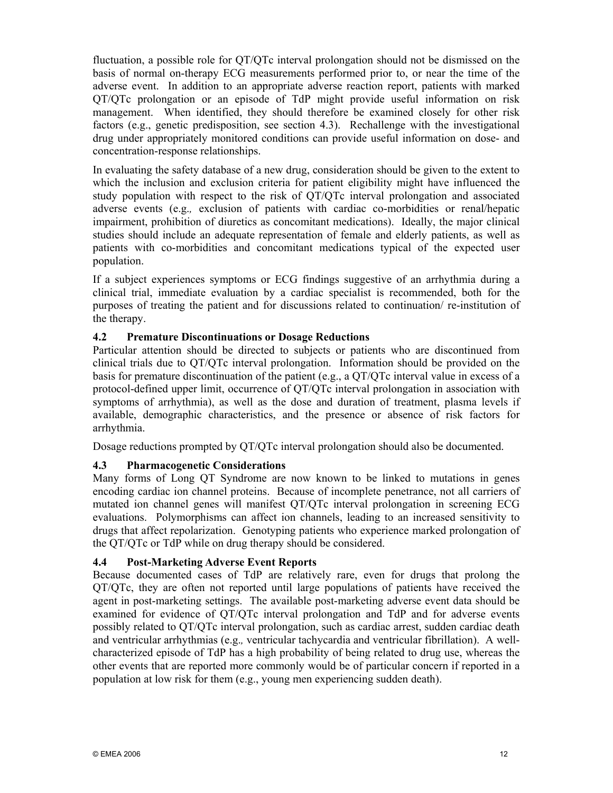fluctuation, a possible role for QT/QTc interval prolongation should not be dismissed on the basis of normal on-therapy ECG measurements performed prior to, or near the time of the adverse event. In addition to an appropriate adverse reaction report, patients with marked QT/QTc prolongation or an episode of TdP might provide useful information on risk management. When identified, they should therefore be examined closely for other risk factors (e.g., genetic predisposition, see section 4.3). Rechallenge with the investigational drug under appropriately monitored conditions can provide useful information on dose- and concentration-response relationships.

In evaluating the safety database of a new drug, consideration should be given to the extent to which the inclusion and exclusion criteria for patient eligibility might have influenced the study population with respect to the risk of QT/QTc interval prolongation and associated adverse events (e.g.*,* exclusion of patients with cardiac co-morbidities or renal/hepatic impairment, prohibition of diuretics as concomitant medications). Ideally, the major clinical studies should include an adequate representation of female and elderly patients, as well as patients with co-morbidities and concomitant medications typical of the expected user population.

If a subject experiences symptoms or ECG findings suggestive of an arrhythmia during a clinical trial, immediate evaluation by a cardiac specialist is recommended, both for the purposes of treating the patient and for discussions related to continuation/ re-institution of the therapy.

# **4.2 Premature Discontinuations or Dosage Reductions**

Particular attention should be directed to subjects or patients who are discontinued from clinical trials due to QT/QTc interval prolongation. Information should be provided on the basis for premature discontinuation of the patient (e.g., a QT/QTc interval value in excess of a protocol-defined upper limit, occurrence of QT/QTc interval prolongation in association with symptoms of arrhythmia), as well as the dose and duration of treatment, plasma levels if available, demographic characteristics, and the presence or absence of risk factors for arrhythmia.

Dosage reductions prompted by QT/QTc interval prolongation should also be documented.

# **4.3 Pharmacogenetic Considerations**

Many forms of Long QT Syndrome are now known to be linked to mutations in genes encoding cardiac ion channel proteins. Because of incomplete penetrance, not all carriers of mutated ion channel genes will manifest QT/QTc interval prolongation in screening ECG evaluations. Polymorphisms can affect ion channels, leading to an increased sensitivity to drugs that affect repolarization. Genotyping patients who experience marked prolongation of the QT/QTc or TdP while on drug therapy should be considered.

# **4.4 Post-Marketing Adverse Event Reports**

Because documented cases of TdP are relatively rare, even for drugs that prolong the QT/QTc, they are often not reported until large populations of patients have received the agent in post-marketing settings. The available post-marketing adverse event data should be examined for evidence of QT/QTc interval prolongation and TdP and for adverse events possibly related to QT/QTc interval prolongation, such as cardiac arrest, sudden cardiac death and ventricular arrhythmias (e.g.*,* ventricular tachycardia and ventricular fibrillation). A wellcharacterized episode of TdP has a high probability of being related to drug use, whereas the other events that are reported more commonly would be of particular concern if reported in a population at low risk for them (e.g., young men experiencing sudden death).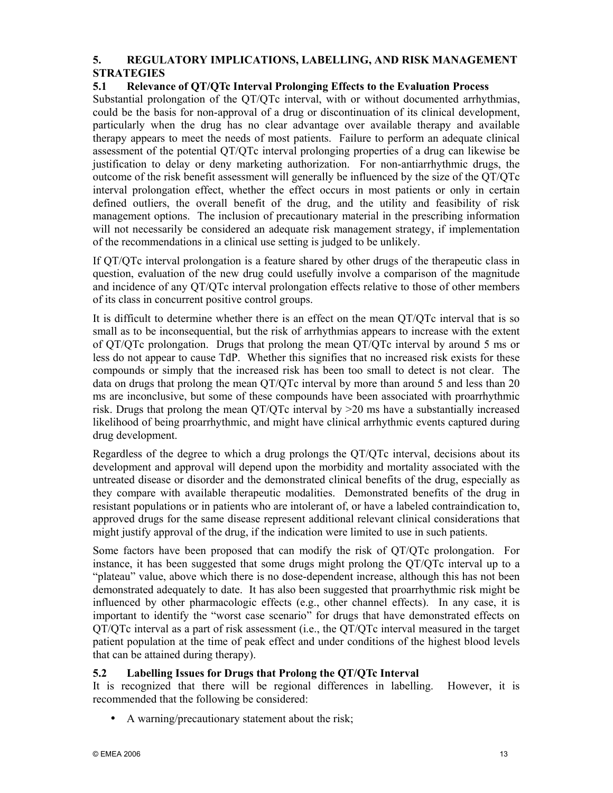# **5. REGULATORY IMPLICATIONS, LABELLING, AND RISK MANAGEMENT STRATEGIES**

### **5.1 Relevance of QT/QTc Interval Prolonging Effects to the Evaluation Process**

Substantial prolongation of the QT/QTc interval, with or without documented arrhythmias, could be the basis for non-approval of a drug or discontinuation of its clinical development, particularly when the drug has no clear advantage over available therapy and available therapy appears to meet the needs of most patients. Failure to perform an adequate clinical assessment of the potential QT/QTc interval prolonging properties of a drug can likewise be justification to delay or deny marketing authorization. For non-antiarrhythmic drugs, the outcome of the risk benefit assessment will generally be influenced by the size of the QT/QTc interval prolongation effect, whether the effect occurs in most patients or only in certain defined outliers, the overall benefit of the drug, and the utility and feasibility of risk management options. The inclusion of precautionary material in the prescribing information will not necessarily be considered an adequate risk management strategy, if implementation of the recommendations in a clinical use setting is judged to be unlikely.

If QT/QTc interval prolongation is a feature shared by other drugs of the therapeutic class in question, evaluation of the new drug could usefully involve a comparison of the magnitude and incidence of any QT/QTc interval prolongation effects relative to those of other members of its class in concurrent positive control groups.

It is difficult to determine whether there is an effect on the mean QT/QTc interval that is so small as to be inconsequential, but the risk of arrhythmias appears to increase with the extent of QT/QTc prolongation. Drugs that prolong the mean QT/QTc interval by around 5 ms or less do not appear to cause TdP. Whether this signifies that no increased risk exists for these compounds or simply that the increased risk has been too small to detect is not clear. The data on drugs that prolong the mean QT/QTc interval by more than around 5 and less than 20 ms are inconclusive, but some of these compounds have been associated with proarrhythmic risk. Drugs that prolong the mean QT/QTc interval by >20 ms have a substantially increased likelihood of being proarrhythmic, and might have clinical arrhythmic events captured during drug development.

Regardless of the degree to which a drug prolongs the QT/QTc interval, decisions about its development and approval will depend upon the morbidity and mortality associated with the untreated disease or disorder and the demonstrated clinical benefits of the drug, especially as they compare with available therapeutic modalities. Demonstrated benefits of the drug in resistant populations or in patients who are intolerant of, or have a labeled contraindication to, approved drugs for the same disease represent additional relevant clinical considerations that might justify approval of the drug, if the indication were limited to use in such patients.

Some factors have been proposed that can modify the risk of QT/QTc prolongation. For instance, it has been suggested that some drugs might prolong the QT/QTc interval up to a "plateau" value, above which there is no dose-dependent increase, although this has not been demonstrated adequately to date. It has also been suggested that proarrhythmic risk might be influenced by other pharmacologic effects (e.g., other channel effects). In any case, it is important to identify the "worst case scenario" for drugs that have demonstrated effects on QT/QTc interval as a part of risk assessment (i.e., the QT/QTc interval measured in the target patient population at the time of peak effect and under conditions of the highest blood levels that can be attained during therapy).

# **5.2 Labelling Issues for Drugs that Prolong the QT/QTc Interval**

It is recognized that there will be regional differences in labelling. However, it is recommended that the following be considered:

• A warning/precautionary statement about the risk;